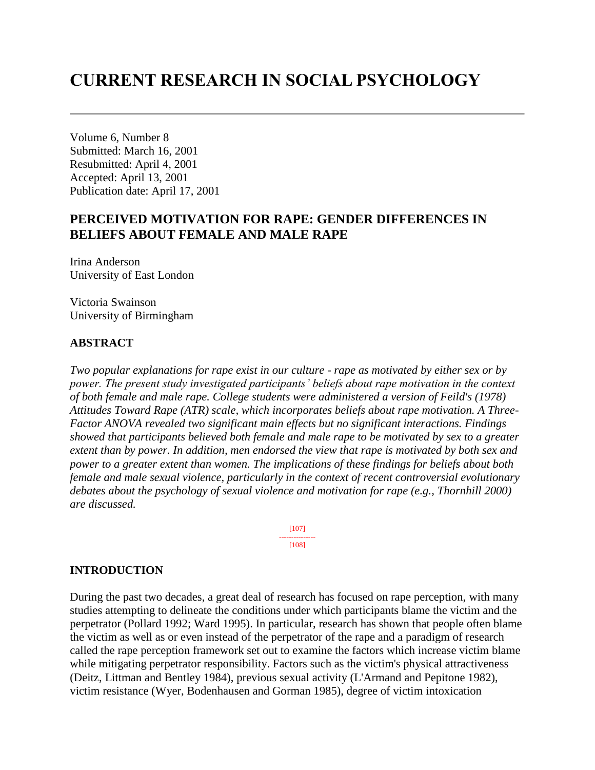# **CURRENT RESEARCH IN SOCIAL PSYCHOLOGY**

Volume 6, Number 8 Submitted: March 16, 2001 Resubmitted: April 4, 2001 Accepted: April 13, 2001 Publication date: April 17, 2001

## **PERCEIVED MOTIVATION FOR RAPE: GENDER DIFFERENCES IN BELIEFS ABOUT FEMALE AND MALE RAPE**

Irina Anderson University of East London

Victoria Swainson University of Birmingham

### **ABSTRACT**

*Two popular explanations for rape exist in our culture - rape as motivated by either sex or by power. The present study investigated participants' beliefs about rape motivation in the context of both female and male rape. College students were administered a version of Feild's (1978) Attitudes Toward Rape (ATR) scale, which incorporates beliefs about rape motivation. A Three-Factor ANOVA revealed two significant main effects but no significant interactions. Findings showed that participants believed both female and male rape to be motivated by sex to a greater extent than by power. In addition, men endorsed the view that rape is motivated by both sex and power to a greater extent than women. The implications of these findings for beliefs about both female and male sexual violence, particularly in the context of recent controversial evolutionary debates about the psychology of sexual violence and motivation for rape (e.g., Thornhill 2000) are discussed.* 

> [107] --------------- [108]

#### **INTRODUCTION**

During the past two decades, a great deal of research has focused on rape perception, with many studies attempting to delineate the conditions under which participants blame the victim and the perpetrator (Pollard 1992; Ward 1995). In particular, research has shown that people often blame the victim as well as or even instead of the perpetrator of the rape and a paradigm of research called the rape perception framework set out to examine the factors which increase victim blame while mitigating perpetrator responsibility. Factors such as the victim's physical attractiveness (Deitz, Littman and Bentley 1984), previous sexual activity (L'Armand and Pepitone 1982), victim resistance (Wyer, Bodenhausen and Gorman 1985), degree of victim intoxication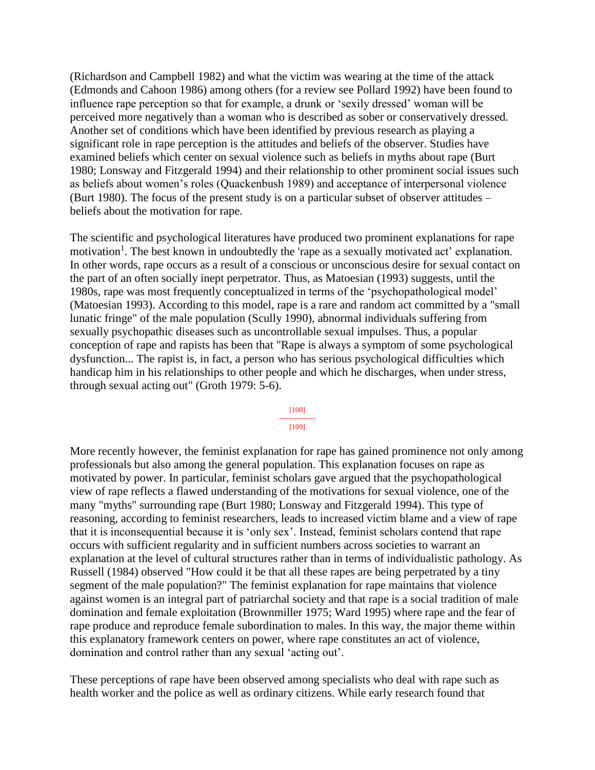(Richardson and Campbell 1982) and what the victim was wearing at the time of the attack (Edmonds and Cahoon 1986) among others (for a review see Pollard 1992) have been found to influence rape perception so that for example, a drunk or 'sexily dressed' woman will be perceived more negatively than a woman who is described as sober or conservatively dressed. Another set of conditions which have been identified by previous research as playing a significant role in rape perception is the attitudes and beliefs of the observer. Studies have examined beliefs which center on sexual violence such as beliefs in myths about rape (Burt 1980; Lonsway and Fitzgerald 1994) and their relationship to other prominent social issues such as beliefs about women's roles (Quackenbush 1989) and acceptance of interpersonal violence (Burt 1980). The focus of the present study is on a particular subset of observer attitudes – beliefs about the motivation for rape.

The scientific and psychological literatures have produced two prominent explanations for rape motivation<sup>1</sup>. The best known in undoubtedly the 'rape as a sexually motivated act' explanation. In other words, rape occurs as a result of a conscious or unconscious desire for sexual contact on the part of an often socially inept perpetrator. Thus, as Matoesian (1993) suggests, until the 1980s, rape was most frequently conceptualized in terms of the 'psychopathological model' (Matoesian 1993). According to this model, rape is a rare and random act committed by a "small lunatic fringe" of the male population (Scully 1990), abnormal individuals suffering from sexually psychopathic diseases such as uncontrollable sexual impulses. Thus, a popular conception of rape and rapists has been that "Rape is always a symptom of some psychological dysfunction... The rapist is, in fact, a person who has serious psychological difficulties which handicap him in his relationships to other people and which he discharges, when under stress, through sexual acting out" (Groth 1979: 5-6).

> [108] --------------- [109]

More recently however, the feminist explanation for rape has gained prominence not only among professionals but also among the general population. This explanation focuses on rape as motivated by power. In particular, feminist scholars gave argued that the psychopathological view of rape reflects a flawed understanding of the motivations for sexual violence, one of the many "myths" surrounding rape (Burt 1980; Lonsway and Fitzgerald 1994). This type of reasoning, according to feminist researchers, leads to increased victim blame and a view of rape that it is inconsequential because it is 'only sex'. Instead, feminist scholars contend that rape occurs with sufficient regularity and in sufficient numbers across societies to warrant an explanation at the level of cultural structures rather than in terms of individualistic pathology. As Russell (1984) observed "How could it be that all these rapes are being perpetrated by a tiny segment of the male population?" The feminist explanation for rape maintains that violence against women is an integral part of patriarchal society and that rape is a social tradition of male domination and female exploitation (Brownmiller 1975; Ward 1995) where rape and the fear of rape produce and reproduce female subordination to males. In this way, the major theme within this explanatory framework centers on power, where rape constitutes an act of violence, domination and control rather than any sexual 'acting out'.

These perceptions of rape have been observed among specialists who deal with rape such as health worker and the police as well as ordinary citizens. While early research found that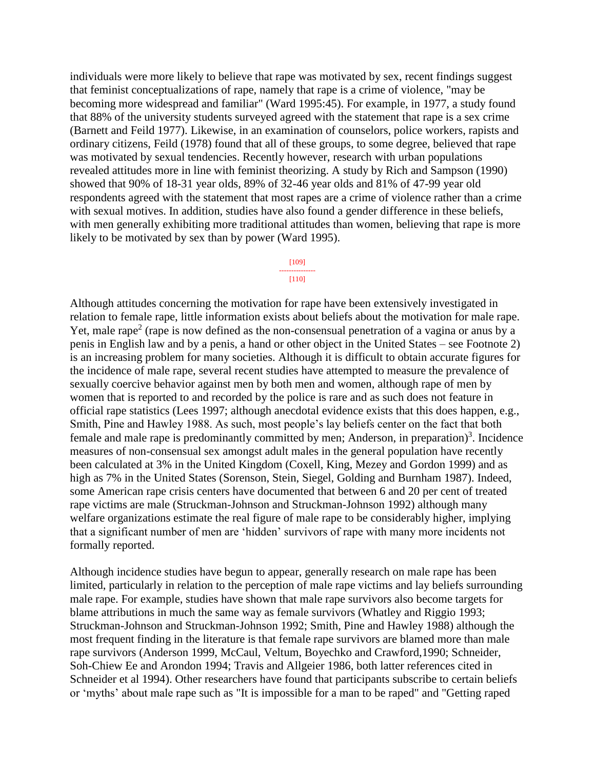individuals were more likely to believe that rape was motivated by sex, recent findings suggest that feminist conceptualizations of rape, namely that rape is a crime of violence, "may be becoming more widespread and familiar" (Ward 1995:45). For example, in 1977, a study found that 88% of the university students surveyed agreed with the statement that rape is a sex crime (Barnett and Feild 1977). Likewise, in an examination of counselors, police workers, rapists and ordinary citizens, Feild (1978) found that all of these groups, to some degree, believed that rape was motivated by sexual tendencies. Recently however, research with urban populations revealed attitudes more in line with feminist theorizing. A study by Rich and Sampson (1990) showed that 90% of 18-31 year olds, 89% of 32-46 year olds and 81% of 47-99 year old respondents agreed with the statement that most rapes are a crime of violence rather than a crime with sexual motives. In addition, studies have also found a gender difference in these beliefs, with men generally exhibiting more traditional attitudes than women, believing that rape is more likely to be motivated by sex than by power (Ward 1995).

#### [109] ---------------

## $[110]$

Although attitudes concerning the motivation for rape have been extensively investigated in relation to female rape, little information exists about beliefs about the motivation for male rape. Yet, male rape<sup>2</sup> (rape is now defined as the non-consensual penetration of a vagina or anus by a penis in English law and by a penis, a hand or other object in the United States – see Footnote 2) is an increasing problem for many societies. Although it is difficult to obtain accurate figures for the incidence of male rape, several recent studies have attempted to measure the prevalence of sexually coercive behavior against men by both men and women, although rape of men by women that is reported to and recorded by the police is rare and as such does not feature in official rape statistics (Lees 1997; although anecdotal evidence exists that this does happen, e.g., Smith, Pine and Hawley 1988. As such, most people's lay beliefs center on the fact that both female and male rape is predominantly committed by men; Anderson, in preparation)<sup>3</sup>. Incidence measures of non-consensual sex amongst adult males in the general population have recently been calculated at 3% in the United Kingdom (Coxell, King, Mezey and Gordon 1999) and as high as 7% in the United States (Sorenson, Stein, Siegel, Golding and Burnham 1987). Indeed, some American rape crisis centers have documented that between 6 and 20 per cent of treated rape victims are male (Struckman-Johnson and Struckman-Johnson 1992) although many welfare organizations estimate the real figure of male rape to be considerably higher, implying that a significant number of men are 'hidden' survivors of rape with many more incidents not formally reported.

Although incidence studies have begun to appear, generally research on male rape has been limited, particularly in relation to the perception of male rape victims and lay beliefs surrounding male rape. For example, studies have shown that male rape survivors also become targets for blame attributions in much the same way as female survivors (Whatley and Riggio 1993; Struckman-Johnson and Struckman-Johnson 1992; Smith, Pine and Hawley 1988) although the most frequent finding in the literature is that female rape survivors are blamed more than male rape survivors (Anderson 1999, McCaul, Veltum, Boyechko and Crawford,1990; Schneider, Soh-Chiew Ee and Arondon 1994; Travis and Allgeier 1986, both latter references cited in Schneider et al 1994). Other researchers have found that participants subscribe to certain beliefs or 'myths' about male rape such as "It is impossible for a man to be raped" and "Getting raped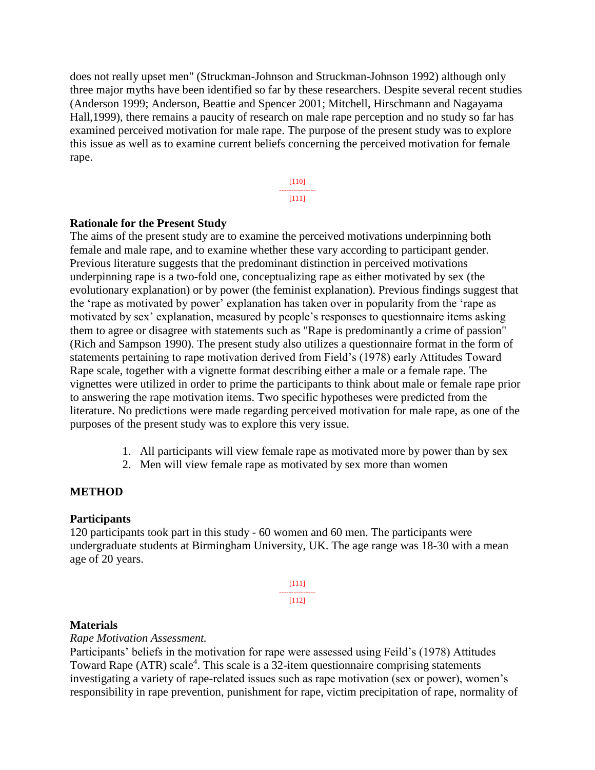does not really upset men" (Struckman-Johnson and Struckman-Johnson 1992) although only three major myths have been identified so far by these researchers. Despite several recent studies (Anderson 1999; Anderson, Beattie and Spencer 2001; Mitchell, Hirschmann and Nagayama Hall,1999), there remains a paucity of research on male rape perception and no study so far has examined perceived motivation for male rape. The purpose of the present study was to explore this issue as well as to examine current beliefs concerning the perceived motivation for female rape.

> [110] --------------- [111]

#### **Rationale for the Present Study**

The aims of the present study are to examine the perceived motivations underpinning both female and male rape, and to examine whether these vary according to participant gender. Previous literature suggests that the predominant distinction in perceived motivations underpinning rape is a two-fold one, conceptualizing rape as either motivated by sex (the evolutionary explanation) or by power (the feminist explanation). Previous findings suggest that the 'rape as motivated by power' explanation has taken over in popularity from the 'rape as motivated by sex' explanation, measured by people's responses to questionnaire items asking them to agree or disagree with statements such as "Rape is predominantly a crime of passion" (Rich and Sampson 1990). The present study also utilizes a questionnaire format in the form of statements pertaining to rape motivation derived from Field's (1978) early Attitudes Toward Rape scale, together with a vignette format describing either a male or a female rape. The vignettes were utilized in order to prime the participants to think about male or female rape prior to answering the rape motivation items. Two specific hypotheses were predicted from the literature. No predictions were made regarding perceived motivation for male rape, as one of the purposes of the present study was to explore this very issue.

- 1. All participants will view female rape as motivated more by power than by sex
- 2. Men will view female rape as motivated by sex more than women

### **METHOD**

#### **Participants**

120 participants took part in this study - 60 women and 60 men. The participants were undergraduate students at Birmingham University, UK. The age range was 18-30 with a mean age of 20 years.

> [111] --------------- [112]

#### **Materials**

*Rape Motivation Assessment.*

Participants' beliefs in the motivation for rape were assessed using Feild's (1978) Attitudes Toward Rape  $(ATR)$  scale<sup>4</sup>. This scale is a 32-item questionnaire comprising statements investigating a variety of rape-related issues such as rape motivation (sex or power), women's responsibility in rape prevention, punishment for rape, victim precipitation of rape, normality of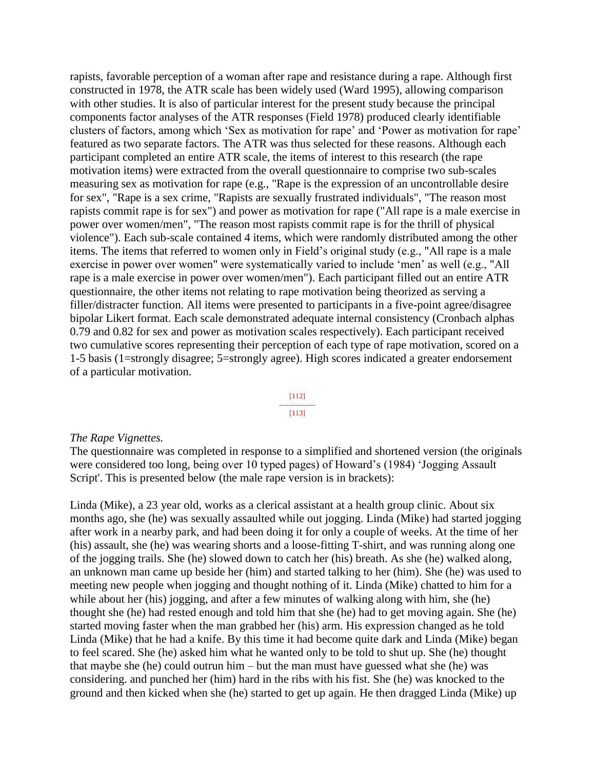rapists, favorable perception of a woman after rape and resistance during a rape. Although first constructed in 1978, the ATR scale has been widely used (Ward 1995), allowing comparison with other studies. It is also of particular interest for the present study because the principal components factor analyses of the ATR responses (Field 1978) produced clearly identifiable clusters of factors, among which 'Sex as motivation for rape' and 'Power as motivation for rape' featured as two separate factors. The ATR was thus selected for these reasons. Although each participant completed an entire ATR scale, the items of interest to this research (the rape motivation items) were extracted from the overall questionnaire to comprise two sub-scales measuring sex as motivation for rape (e.g., "Rape is the expression of an uncontrollable desire for sex", "Rape is a sex crime, "Rapists are sexually frustrated individuals", "The reason most rapists commit rape is for sex") and power as motivation for rape ("All rape is a male exercise in power over women/men", "The reason most rapists commit rape is for the thrill of physical violence"). Each sub-scale contained 4 items, which were randomly distributed among the other items. The items that referred to women only in Field's original study (e.g., "All rape is a male exercise in power over women" were systematically varied to include 'men' as well (e.g., "All rape is a male exercise in power over women/men"). Each participant filled out an entire ATR questionnaire, the other items not relating to rape motivation being theorized as serving a filler/distracter function. All items were presented to participants in a five-point agree/disagree bipolar Likert format. Each scale demonstrated adequate internal consistency (Cronbach alphas 0.79 and 0.82 for sex and power as motivation scales respectively). Each participant received two cumulative scores representing their perception of each type of rape motivation, scored on a 1-5 basis (1=strongly disagree; 5=strongly agree). High scores indicated a greater endorsement of a particular motivation.

> [112] ---------------  $[113]$

#### *The Rape Vignettes.*

The questionnaire was completed in response to a simplified and shortened version (the originals were considered too long, being over 10 typed pages) of Howard's (1984) 'Jogging Assault Script'. This is presented below (the male rape version is in brackets):

Linda (Mike), a 23 year old, works as a clerical assistant at a health group clinic. About six months ago, she (he) was sexually assaulted while out jogging. Linda (Mike) had started jogging after work in a nearby park, and had been doing it for only a couple of weeks. At the time of her (his) assault, she (he) was wearing shorts and a loose-fitting T-shirt, and was running along one of the jogging trails. She (he) slowed down to catch her (his) breath. As she (he) walked along, an unknown man came up beside her (him) and started talking to her (him). She (he) was used to meeting new people when jogging and thought nothing of it. Linda (Mike) chatted to him for a while about her (his) jogging, and after a few minutes of walking along with him, she (he) thought she (he) had rested enough and told him that she (he) had to get moving again. She (he) started moving faster when the man grabbed her (his) arm. His expression changed as he told Linda (Mike) that he had a knife. By this time it had become quite dark and Linda (Mike) began to feel scared. She (he) asked him what he wanted only to be told to shut up. She (he) thought that maybe she (he) could outrun him – but the man must have guessed what she (he) was considering. and punched her (him) hard in the ribs with his fist. She (he) was knocked to the ground and then kicked when she (he) started to get up again. He then dragged Linda (Mike) up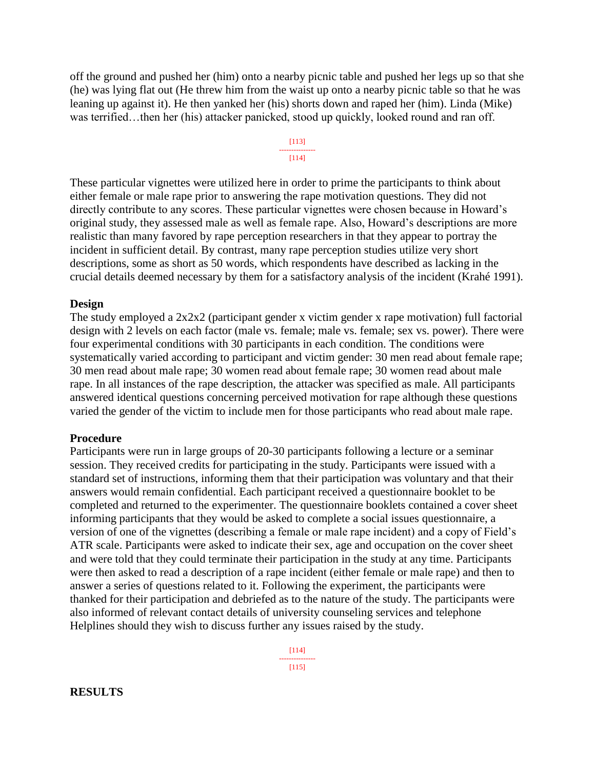off the ground and pushed her (him) onto a nearby picnic table and pushed her legs up so that she (he) was lying flat out (He threw him from the waist up onto a nearby picnic table so that he was leaning up against it). He then yanked her (his) shorts down and raped her (him). Linda (Mike) was terrified…then her (his) attacker panicked, stood up quickly, looked round and ran off.

#### [113] --------------- [114]

These particular vignettes were utilized here in order to prime the participants to think about either female or male rape prior to answering the rape motivation questions. They did not directly contribute to any scores. These particular vignettes were chosen because in Howard's original study, they assessed male as well as female rape. Also, Howard's descriptions are more realistic than many favored by rape perception researchers in that they appear to portray the incident in sufficient detail. By contrast, many rape perception studies utilize very short descriptions, some as short as 50 words, which respondents have described as lacking in the crucial details deemed necessary by them for a satisfactory analysis of the incident (Krahé 1991).

### **Design**

The study employed a 2x2x2 (participant gender x victim gender x rape motivation) full factorial design with 2 levels on each factor (male vs. female; male vs. female; sex vs. power). There were four experimental conditions with 30 participants in each condition. The conditions were systematically varied according to participant and victim gender: 30 men read about female rape; 30 men read about male rape; 30 women read about female rape; 30 women read about male rape. In all instances of the rape description, the attacker was specified as male. All participants answered identical questions concerning perceived motivation for rape although these questions varied the gender of the victim to include men for those participants who read about male rape.

#### **Procedure**

Participants were run in large groups of 20-30 participants following a lecture or a seminar session. They received credits for participating in the study. Participants were issued with a standard set of instructions, informing them that their participation was voluntary and that their answers would remain confidential. Each participant received a questionnaire booklet to be completed and returned to the experimenter. The questionnaire booklets contained a cover sheet informing participants that they would be asked to complete a social issues questionnaire, a version of one of the vignettes (describing a female or male rape incident) and a copy of Field's ATR scale. Participants were asked to indicate their sex, age and occupation on the cover sheet and were told that they could terminate their participation in the study at any time. Participants were then asked to read a description of a rape incident (either female or male rape) and then to answer a series of questions related to it. Following the experiment, the participants were thanked for their participation and debriefed as to the nature of the study. The participants were also informed of relevant contact details of university counseling services and telephone Helplines should they wish to discuss further any issues raised by the study.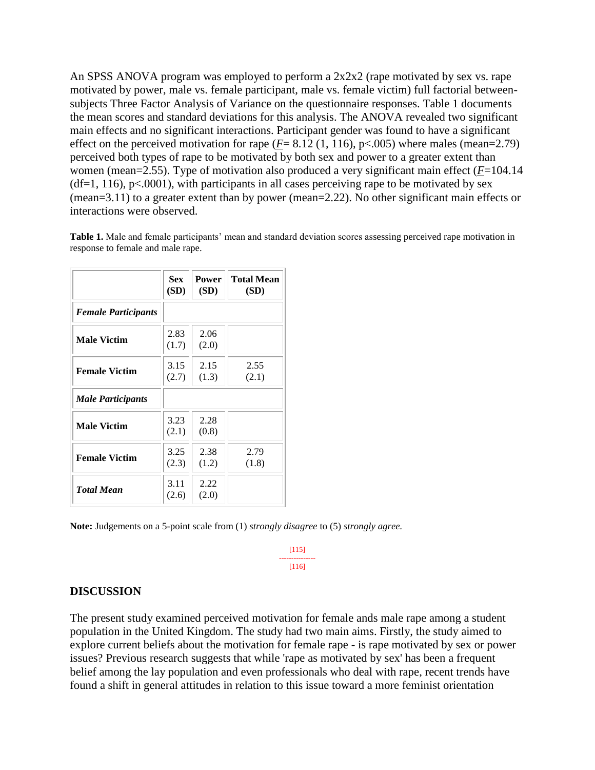An SPSS ANOVA program was employed to perform a  $2x2x2$  (rape motivated by sex vs. rape motivated by power, male vs. female participant, male vs. female victim) full factorial betweensubjects Three Factor Analysis of Variance on the questionnaire responses. Table 1 documents the mean scores and standard deviations for this analysis. The ANOVA revealed two significant main effects and no significant interactions. Participant gender was found to have a significant effect on the perceived motivation for rape  $(F = 8.12 (1, 116), p < .005)$  where males (mean=2.79) perceived both types of rape to be motivated by both sex and power to a greater extent than women (mean=2.55). Type of motivation also produced a very significant main effect (*F*=104.14  $(df=1, 116)$ ,  $p<0001$ ), with participants in all cases perceiving rape to be motivated by sex (mean=3.11) to a greater extent than by power (mean=2.22). No other significant main effects or interactions were observed.

|                            | <b>Sex</b><br>(SD) | <b>Power</b><br>(SD) | <b>Total Mean</b><br>(SD) |
|----------------------------|--------------------|----------------------|---------------------------|
| <b>Female Participants</b> |                    |                      |                           |
| <b>Male Victim</b>         | 2.83<br>(1.7)      | 2.06<br>(2.0)        |                           |
| <b>Female Victim</b>       | 3.15<br>(2.7)      | 2.15<br>(1.3)        | 2.55<br>(2.1)             |
| <b>Male Participants</b>   |                    |                      |                           |
| <b>Male Victim</b>         | 3.23<br>(2.1)      | 2.28<br>(0.8)        |                           |
| <b>Female Victim</b>       | 3.25<br>(2.3)      | 2.38<br>(1.2)        | 2.79<br>(1.8)             |
| <b>Total Mean</b>          | 3.11<br>(2.6)      | 2.22<br>(2.0)        |                           |

**Table 1.** Male and female participants' mean and standard deviation scores assessing perceived rape motivation in response to female and male rape.

**Note:** Judgements on a 5-point scale from (1) *strongly disagree* to (5) *strongly agree.*

[115] --------------- [116]

### **DISCUSSION**

The present study examined perceived motivation for female ands male rape among a student population in the United Kingdom. The study had two main aims. Firstly, the study aimed to explore current beliefs about the motivation for female rape - is rape motivated by sex or power issues? Previous research suggests that while 'rape as motivated by sex' has been a frequent belief among the lay population and even professionals who deal with rape, recent trends have found a shift in general attitudes in relation to this issue toward a more feminist orientation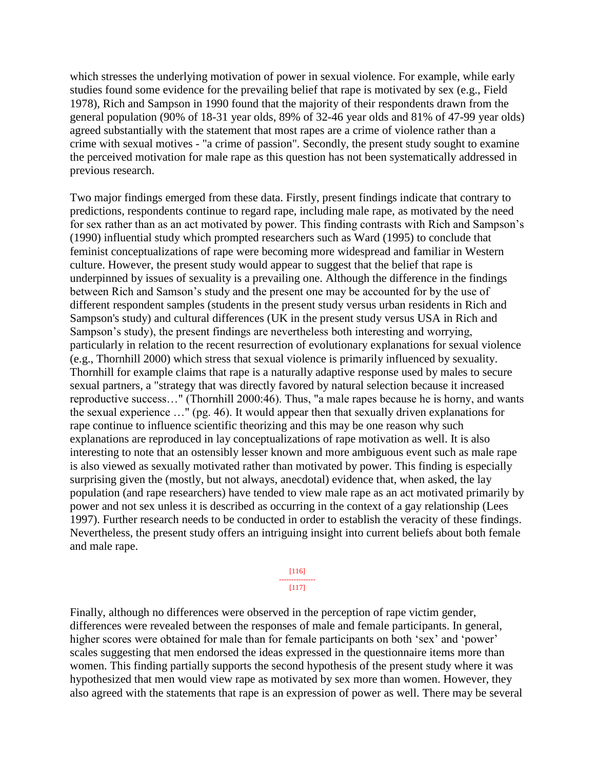which stresses the underlying motivation of power in sexual violence. For example, while early studies found some evidence for the prevailing belief that rape is motivated by sex (e.g., Field 1978), Rich and Sampson in 1990 found that the majority of their respondents drawn from the general population (90% of 18-31 year olds, 89% of 32-46 year olds and 81% of 47-99 year olds) agreed substantially with the statement that most rapes are a crime of violence rather than a crime with sexual motives - "a crime of passion". Secondly, the present study sought to examine the perceived motivation for male rape as this question has not been systematically addressed in previous research.

Two major findings emerged from these data. Firstly, present findings indicate that contrary to predictions, respondents continue to regard rape, including male rape, as motivated by the need for sex rather than as an act motivated by power. This finding contrasts with Rich and Sampson's (1990) influential study which prompted researchers such as Ward (1995) to conclude that feminist conceptualizations of rape were becoming more widespread and familiar in Western culture. However, the present study would appear to suggest that the belief that rape is underpinned by issues of sexuality is a prevailing one. Although the difference in the findings between Rich and Samson's study and the present one may be accounted for by the use of different respondent samples (students in the present study versus urban residents in Rich and Sampson's study) and cultural differences (UK in the present study versus USA in Rich and Sampson's study), the present findings are nevertheless both interesting and worrying, particularly in relation to the recent resurrection of evolutionary explanations for sexual violence (e.g., Thornhill 2000) which stress that sexual violence is primarily influenced by sexuality. Thornhill for example claims that rape is a naturally adaptive response used by males to secure sexual partners, a "strategy that was directly favored by natural selection because it increased reproductive success…" (Thornhill 2000:46). Thus, "a male rapes because he is horny, and wants the sexual experience …" (pg. 46). It would appear then that sexually driven explanations for rape continue to influence scientific theorizing and this may be one reason why such explanations are reproduced in lay conceptualizations of rape motivation as well. It is also interesting to note that an ostensibly lesser known and more ambiguous event such as male rape is also viewed as sexually motivated rather than motivated by power. This finding is especially surprising given the (mostly, but not always, anecdotal) evidence that, when asked, the lay population (and rape researchers) have tended to view male rape as an act motivated primarily by power and not sex unless it is described as occurring in the context of a gay relationship (Lees 1997). Further research needs to be conducted in order to establish the veracity of these findings. Nevertheless, the present study offers an intriguing insight into current beliefs about both female and male rape.

#### [116]

#### --------------- [117]

Finally, although no differences were observed in the perception of rape victim gender, differences were revealed between the responses of male and female participants. In general, higher scores were obtained for male than for female participants on both 'sex' and 'power' scales suggesting that men endorsed the ideas expressed in the questionnaire items more than women. This finding partially supports the second hypothesis of the present study where it was hypothesized that men would view rape as motivated by sex more than women. However, they also agreed with the statements that rape is an expression of power as well. There may be several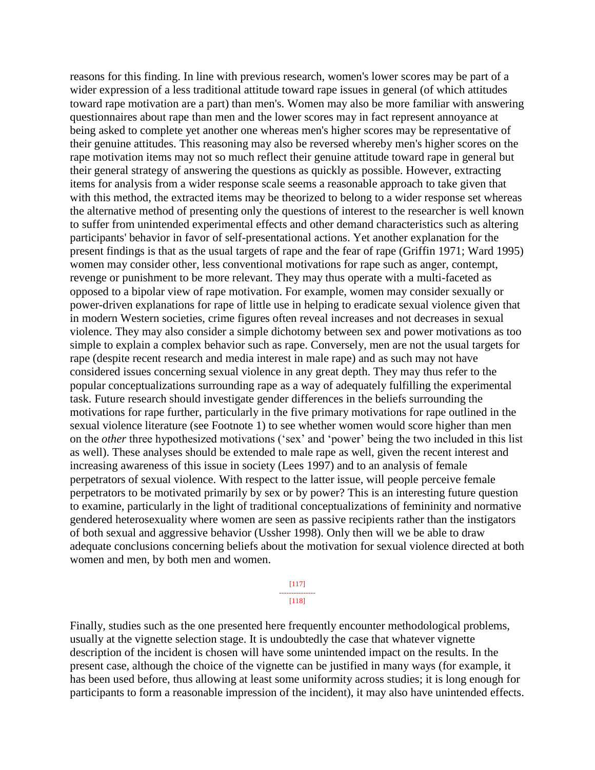reasons for this finding. In line with previous research, women's lower scores may be part of a wider expression of a less traditional attitude toward rape issues in general (of which attitudes toward rape motivation are a part) than men's. Women may also be more familiar with answering questionnaires about rape than men and the lower scores may in fact represent annoyance at being asked to complete yet another one whereas men's higher scores may be representative of their genuine attitudes. This reasoning may also be reversed whereby men's higher scores on the rape motivation items may not so much reflect their genuine attitude toward rape in general but their general strategy of answering the questions as quickly as possible. However, extracting items for analysis from a wider response scale seems a reasonable approach to take given that with this method, the extracted items may be theorized to belong to a wider response set whereas the alternative method of presenting only the questions of interest to the researcher is well known to suffer from unintended experimental effects and other demand characteristics such as altering participants' behavior in favor of self-presentational actions. Yet another explanation for the present findings is that as the usual targets of rape and the fear of rape (Griffin 1971; Ward 1995) women may consider other, less conventional motivations for rape such as anger, contempt, revenge or punishment to be more relevant. They may thus operate with a multi-faceted as opposed to a bipolar view of rape motivation. For example, women may consider sexually or power-driven explanations for rape of little use in helping to eradicate sexual violence given that in modern Western societies, crime figures often reveal increases and not decreases in sexual violence. They may also consider a simple dichotomy between sex and power motivations as too simple to explain a complex behavior such as rape. Conversely, men are not the usual targets for rape (despite recent research and media interest in male rape) and as such may not have considered issues concerning sexual violence in any great depth. They may thus refer to the popular conceptualizations surrounding rape as a way of adequately fulfilling the experimental task. Future research should investigate gender differences in the beliefs surrounding the motivations for rape further, particularly in the five primary motivations for rape outlined in the sexual violence literature (see Footnote 1) to see whether women would score higher than men on the *other* three hypothesized motivations ('sex' and 'power' being the two included in this list as well). These analyses should be extended to male rape as well, given the recent interest and increasing awareness of this issue in society (Lees 1997) and to an analysis of female perpetrators of sexual violence. With respect to the latter issue, will people perceive female perpetrators to be motivated primarily by sex or by power? This is an interesting future question to examine, particularly in the light of traditional conceptualizations of femininity and normative gendered heterosexuality where women are seen as passive recipients rather than the instigators of both sexual and aggressive behavior (Ussher 1998). Only then will we be able to draw adequate conclusions concerning beliefs about the motivation for sexual violence directed at both women and men, by both men and women.

> [117] --------------- [118]

Finally, studies such as the one presented here frequently encounter methodological problems, usually at the vignette selection stage. It is undoubtedly the case that whatever vignette description of the incident is chosen will have some unintended impact on the results. In the present case, although the choice of the vignette can be justified in many ways (for example, it has been used before, thus allowing at least some uniformity across studies; it is long enough for participants to form a reasonable impression of the incident), it may also have unintended effects.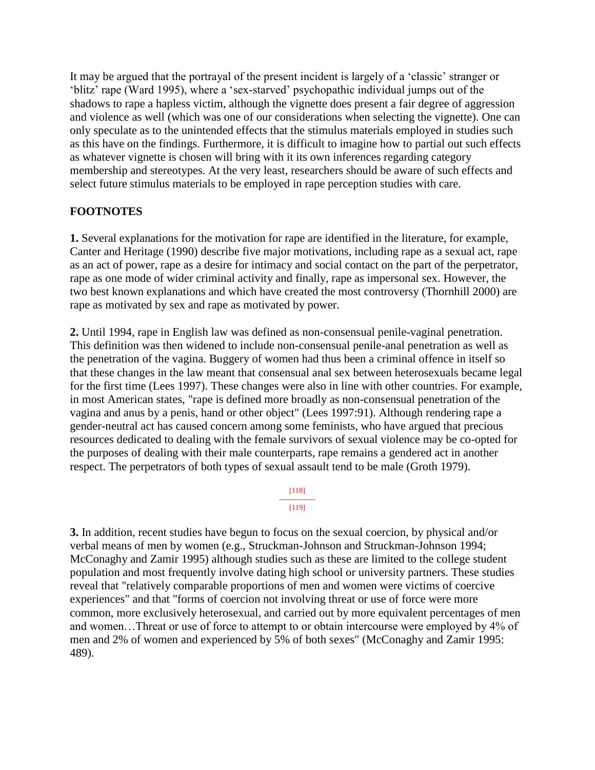It may be argued that the portrayal of the present incident is largely of a 'classic' stranger or 'blitz' rape (Ward 1995), where a 'sex-starved' psychopathic individual jumps out of the shadows to rape a hapless victim, although the vignette does present a fair degree of aggression and violence as well (which was one of our considerations when selecting the vignette). One can only speculate as to the unintended effects that the stimulus materials employed in studies such as this have on the findings. Furthermore, it is difficult to imagine how to partial out such effects as whatever vignette is chosen will bring with it its own inferences regarding category membership and stereotypes. At the very least, researchers should be aware of such effects and select future stimulus materials to be employed in rape perception studies with care.

### **FOOTNOTES**

**1.** Several explanations for the motivation for rape are identified in the literature, for example, Canter and Heritage (1990) describe five major motivations, including rape as a sexual act, rape as an act of power, rape as a desire for intimacy and social contact on the part of the perpetrator, rape as one mode of wider criminal activity and finally, rape as impersonal sex. However, the two best known explanations and which have created the most controversy (Thornhill 2000) are rape as motivated by sex and rape as motivated by power.

**2.** Until 1994, rape in English law was defined as non-consensual penile-vaginal penetration. This definition was then widened to include non-consensual penile-anal penetration as well as the penetration of the vagina. Buggery of women had thus been a criminal offence in itself so that these changes in the law meant that consensual anal sex between heterosexuals became legal for the first time (Lees 1997). These changes were also in line with other countries. For example, in most American states, "rape is defined more broadly as non-consensual penetration of the vagina and anus by a penis, hand or other object" (Lees 1997:91). Although rendering rape a gender-neutral act has caused concern among some feminists, who have argued that precious resources dedicated to dealing with the female survivors of sexual violence may be co-opted for the purposes of dealing with their male counterparts, rape remains a gendered act in another respect. The perpetrators of both types of sexual assault tend to be male (Groth 1979).

> [118] ---------------  $[119]$

**3.** In addition, recent studies have begun to focus on the sexual coercion, by physical and/or verbal means of men by women (e.g., Struckman-Johnson and Struckman-Johnson 1994; McConaghy and Zamir 1995) although studies such as these are limited to the college student population and most frequently involve dating high school or university partners. These studies reveal that "relatively comparable proportions of men and women were victims of coercive experiences" and that "forms of coercion not involving threat or use of force were more common, more exclusively heterosexual, and carried out by more equivalent percentages of men and women…Threat or use of force to attempt to or obtain intercourse were employed by 4% of men and 2% of women and experienced by 5% of both sexes" (McConaghy and Zamir 1995: 489).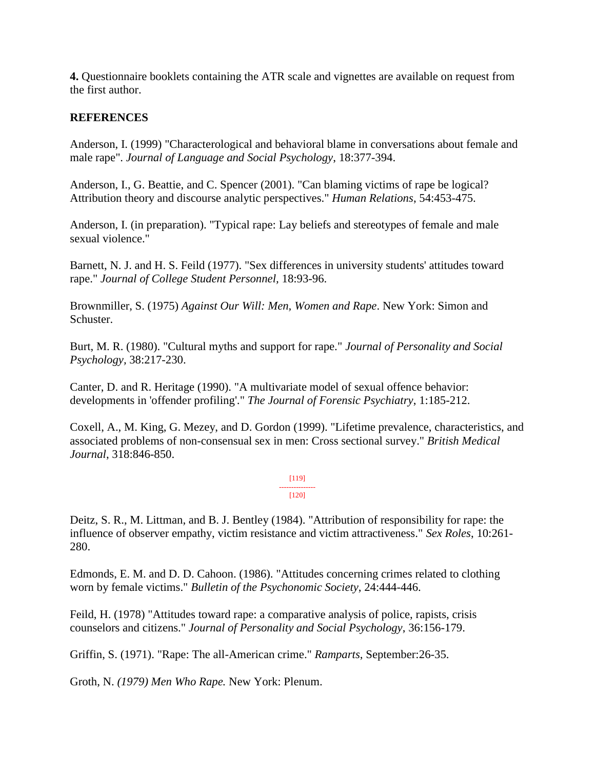**4.** Questionnaire booklets containing the ATR scale and vignettes are available on request from the first author.

### **REFERENCES**

Anderson, I. (1999) "Characterological and behavioral blame in conversations about female and male rape". *Journal of Language and Social Psychology*, 18:377-394.

Anderson, I., G. Beattie, and C. Spencer (2001). "Can blaming victims of rape be logical? Attribution theory and discourse analytic perspectives." *Human Relations*, 54:453-475.

Anderson, I. (in preparation). "Typical rape: Lay beliefs and stereotypes of female and male sexual violence."

Barnett, N. J. and H. S. Feild (1977). "Sex differences in university students' attitudes toward rape." *Journal of College Student Personnel,* 18:93-96.

Brownmiller, S. (1975) *Against Our Will: Men, Women and Rape*. New York: Simon and Schuster.

Burt, M. R. (1980). "Cultural myths and support for rape." *Journal of Personality and Social Psychology,* 38:217-230.

Canter, D. and R. Heritage (1990). "A multivariate model of sexual offence behavior: developments in 'offender profiling'." *The Journal of Forensic Psychiatry*, 1:185-212.

Coxell, A., M. King, G. Mezey, and D. Gordon (1999). "Lifetime prevalence, characteristics, and associated problems of non-consensual sex in men: Cross sectional survey." *British Medical Journal*, 318:846-850.

> [119] --------------- [120]

Deitz, S. R., M. Littman, and B. J. Bentley (1984). "Attribution of responsibility for rape: the influence of observer empathy, victim resistance and victim attractiveness." *Sex Roles*, 10:261- 280.

Edmonds, E. M. and D. D. Cahoon. (1986). "Attitudes concerning crimes related to clothing worn by female victims." *Bulletin of the Psychonomic Society*, 24:444-446.

Feild, H. (1978) "Attitudes toward rape: a comparative analysis of police, rapists, crisis counselors and citizens." *Journal of Personality and Social Psychology*, 36:156-179.

Griffin, S. (1971). "Rape: The all-American crime." *Ramparts*, September:26-35.

Groth, N. *(1979) Men Who Rape.* New York: Plenum.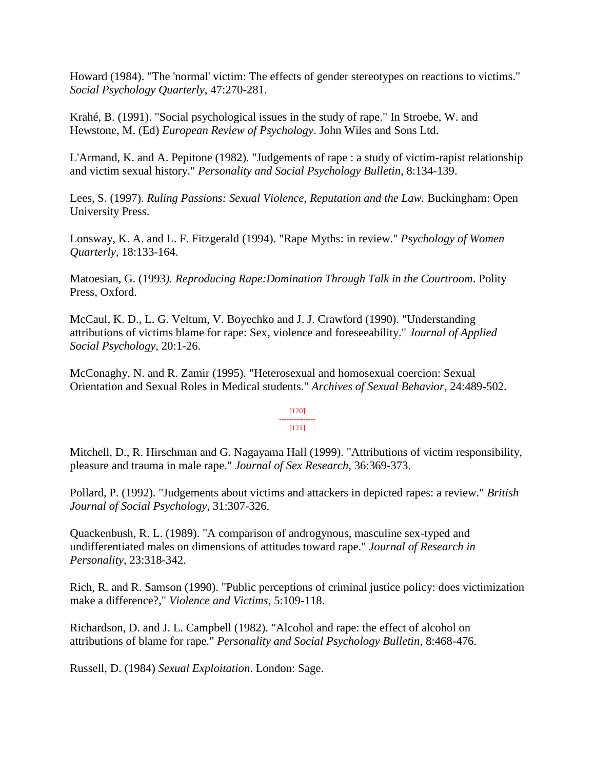Howard (1984). "The 'normal' victim: The effects of gender stereotypes on reactions to victims." *Social Psychology Quarterly*, 47:270-281.

Krahé, B. (1991). "Social psychological issues in the study of rape." In Stroebe, W. and Hewstone, M. (Ed) *European Review of Psychology*. John Wiles and Sons Ltd.

L'Armand, K. and A. Pepitone (1982). "Judgements of rape : a study of victim-rapist relationship and victim sexual history." *Personality and Social Psychology Bulletin*, 8:134-139.

Lees, S. (1997). *Ruling Passions: Sexual Violence, Reputation and the Law.* Buckingham: Open University Press.

Lonsway, K. A. and L. F. Fitzgerald (1994). "Rape Myths: in review." *Psychology of Women Quarterly,* 18:133-164.

Matoesian, G. (1993*). Reproducing Rape:Domination Through Talk in the Courtroom*. Polity Press, Oxford.

McCaul, K. D., L. G. Veltum, V. Boyechko and J. J. Crawford (1990). "Understanding attributions of victims blame for rape: Sex, violence and foreseeability." *Journal of Applied Social Psychology*, 20:1-26.

McConaghy, N. and R. Zamir (1995). "Heterosexual and homosexual coercion: Sexual Orientation and Sexual Roles in Medical students." *Archives of Sexual Behavior*, 24:489-502.

> [120] --------------- [121]

Mitchell, D., R. Hirschman and G. Nagayama Hall (1999). "Attributions of victim responsibility, pleasure and trauma in male rape." *Journal of Sex Research*, 36:369-373.

Pollard, P. (1992). "Judgements about victims and attackers in depicted rapes: a review." *British Journal of Social Psychology*, 31:307-326.

Quackenbush, R. L. (1989). "A comparison of androgynous, masculine sex-typed and undifferentiated males on dimensions of attitudes toward rape." *Journal of Research in Personality*, 23:318-342.

Rich, R. and R. Samson (1990). "Public perceptions of criminal justice policy: does victimization make a difference?," *Violence and Victims*, 5:109-118.

Richardson, D. and J. L. Campbell (1982). "Alcohol and rape: the effect of alcohol on attributions of blame for rape." *Personality and Social Psychology Bulletin*, 8:468-476.

Russell, D. (1984) *Sexual Exploitation*. London: Sage.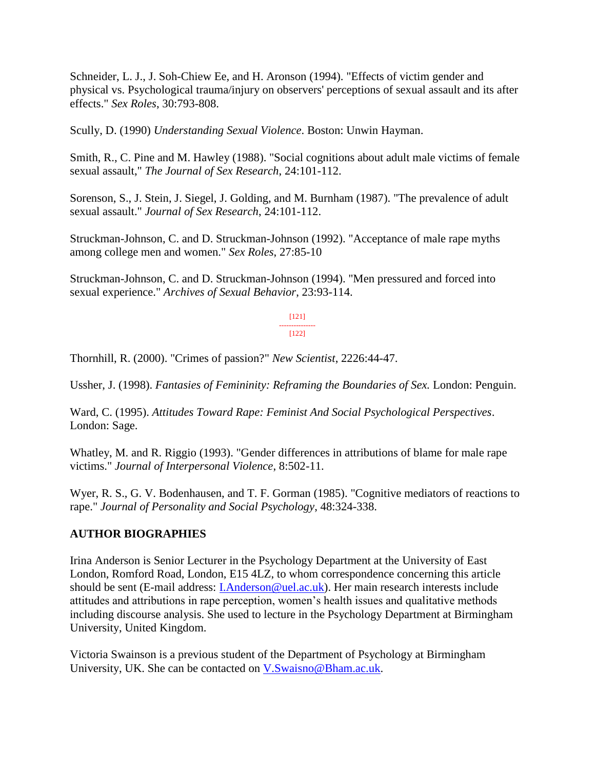Schneider, L. J., J. Soh-Chiew Ee, and H. Aronson (1994). "Effects of victim gender and physical vs. Psychological trauma/injury on observers' perceptions of sexual assault and its after effects." *Sex Roles*, 30:793-808.

Scully, D. (1990) *Understanding Sexual Violence*. Boston: Unwin Hayman.

Smith, R., C. Pine and M. Hawley (1988). "Social cognitions about adult male victims of female sexual assault," *The Journal of Sex Research*, 24:101-112.

Sorenson, S., J. Stein, J. Siegel, J. Golding, and M. Burnham (1987). "The prevalence of adult sexual assault." *Journal of Sex Research*, 24:101-112.

Struckman-Johnson, C. and D. Struckman-Johnson (1992). "Acceptance of male rape myths among college men and women." *Sex Roles*, 27:85-10

Struckman-Johnson, C. and D. Struckman-Johnson (1994). "Men pressured and forced into sexual experience." *Archives of Sexual Behavior*, 23:93-114.

> [121] --------------- [122]

Thornhill, R. (2000). "Crimes of passion?" *New Scientist*, 2226:44-47.

Ussher, J. (1998). *Fantasies of Femininity: Reframing the Boundaries of Sex.* London: Penguin.

Ward, C. (1995). *Attitudes Toward Rape: Feminist And Social Psychological Perspectives*. London: Sage.

Whatley, M. and R. Riggio (1993). "Gender differences in attributions of blame for male rape victims." *Journal of Interpersonal Violence*, 8:502-11.

Wyer, R. S., G. V. Bodenhausen, and T. F. Gorman (1985). "Cognitive mediators of reactions to rape." *Journal of Personality and Social Psychology*, 48:324-338.

## **AUTHOR BIOGRAPHIES**

Irina Anderson is Senior Lecturer in the Psychology Department at the University of East London, Romford Road, London, E15 4LZ, to whom correspondence concerning this article should be sent (E-mail address: [I.Anderson@uel.ac.uk\)](mailto:I.Anderson@uel.ac.uk). Her main research interests include attitudes and attributions in rape perception, women's health issues and qualitative methods including discourse analysis. She used to lecture in the Psychology Department at Birmingham University, United Kingdom.

Victoria Swainson is a previous student of the Department of Psychology at Birmingham University, UK. She can be contacted on **V.Swaisno@Bham.ac.uk.**